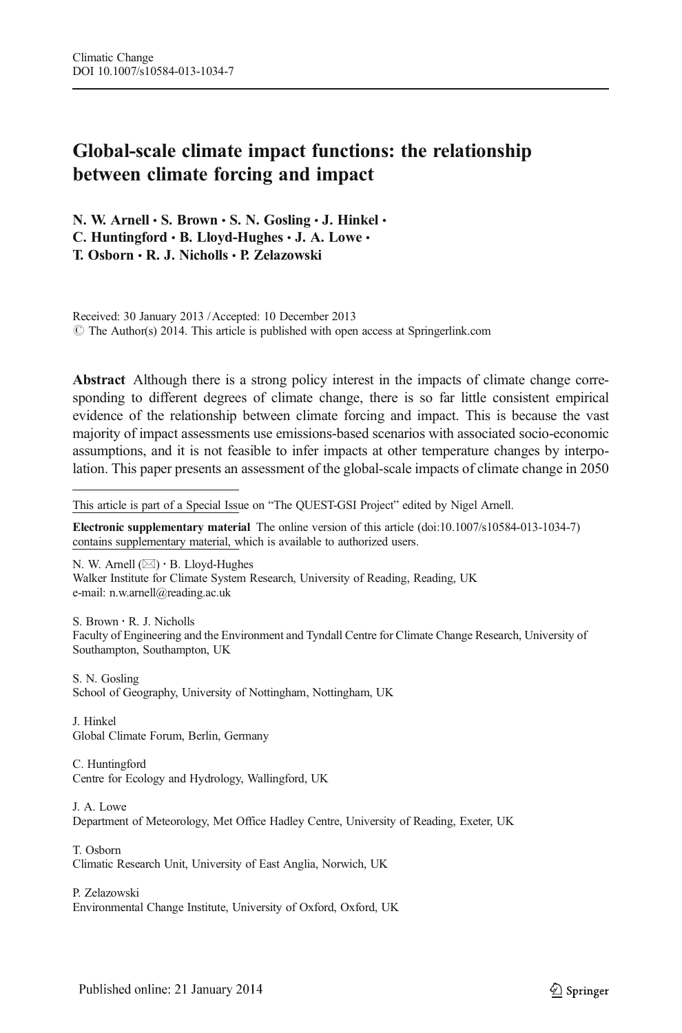# Global-scale climate impact functions: the relationship between climate forcing and impact

N. W. Arnell  $\cdot$  S. Brown  $\cdot$  S. N. Gosling  $\cdot$  J. Hinkel  $\cdot$ C. Huntingford  $\cdot$  B. Lloyd-Hughes  $\cdot$  J. A. Lowe  $\cdot$ T. Osborn & R. J. Nicholls & P. Zelazowski

Received: 30 January 2013 /Accepted: 10 December 2013  $\degree$  The Author(s) 2014. This article is published with open access at Springerlink.com

Abstract Although there is a strong policy interest in the impacts of climate change corresponding to different degrees of climate change, there is so far little consistent empirical evidence of the relationship between climate forcing and impact. This is because the vast majority of impact assessments use emissions-based scenarios with associated socio-economic assumptions, and it is not feasible to infer impacts at other temperature changes by interpolation. This paper presents an assessment of the global-scale impacts of climate change in 2050

This article is part of a Special Issue on "The QUEST-GSI Project" edited by Nigel Arnell.

Electronic supplementary material The online version of this article (doi[:10.1007/s10584-013-1034-7](http://dx.doi.org/10.1007/s10584-013-1034-7)) contains supplementary material, which is available to authorized users.

N. W. Arnell  $(\boxtimes) \cdot$  B. Lloyd-Hughes Walker Institute for Climate System Research, University of Reading, Reading, UK e-mail: n.w.arnell@reading.ac.uk

S. Brown : R. J. Nicholls Faculty of Engineering and the Environment and Tyndall Centre for Climate Change Research, University of Southampton, Southampton, UK

S. N. Gosling School of Geography, University of Nottingham, Nottingham, UK

J. Hinkel Global Climate Forum, Berlin, Germany

C. Huntingford Centre for Ecology and Hydrology, Wallingford, UK

- J. A. Lowe Department of Meteorology, Met Office Hadley Centre, University of Reading, Exeter, UK
- T. Osborn Climatic Research Unit, University of East Anglia, Norwich, UK

P. Zelazowski Environmental Change Institute, University of Oxford, Oxford, UK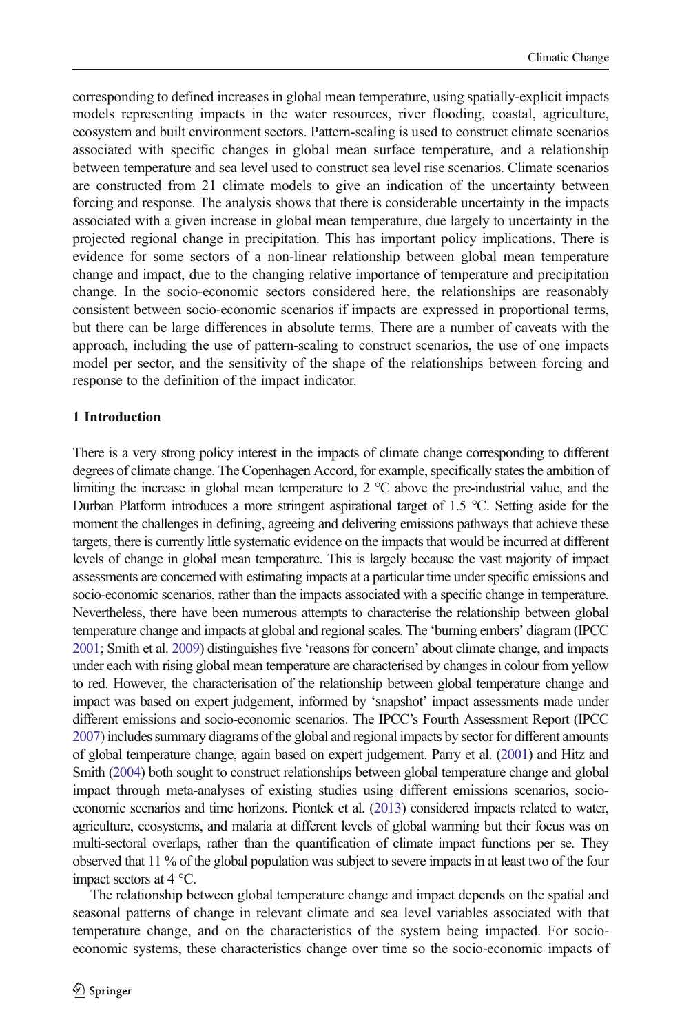corresponding to defined increases in global mean temperature, using spatially-explicit impacts models representing impacts in the water resources, river flooding, coastal, agriculture, ecosystem and built environment sectors. Pattern-scaling is used to construct climate scenarios associated with specific changes in global mean surface temperature, and a relationship between temperature and sea level used to construct sea level rise scenarios. Climate scenarios are constructed from 21 climate models to give an indication of the uncertainty between forcing and response. The analysis shows that there is considerable uncertainty in the impacts associated with a given increase in global mean temperature, due largely to uncertainty in the projected regional change in precipitation. This has important policy implications. There is evidence for some sectors of a non-linear relationship between global mean temperature change and impact, due to the changing relative importance of temperature and precipitation change. In the socio-economic sectors considered here, the relationships are reasonably consistent between socio-economic scenarios if impacts are expressed in proportional terms, but there can be large differences in absolute terms. There are a number of caveats with the approach, including the use of pattern-scaling to construct scenarios, the use of one impacts model per sector, and the sensitivity of the shape of the relationships between forcing and response to the definition of the impact indicator.

# 1 Introduction

There is a very strong policy interest in the impacts of climate change corresponding to different degrees of climate change. The Copenhagen Accord, for example, specifically states the ambition of limiting the increase in global mean temperature to 2 °C above the pre-industrial value, and the Durban Platform introduces a more stringent aspirational target of 1.5 °C. Setting aside for the moment the challenges in defining, agreeing and delivering emissions pathways that achieve these targets, there is currently little systematic evidence on the impacts that would be incurred at different levels of change in global mean temperature. This is largely because the vast majority of impact assessments are concerned with estimating impacts at a particular time under specific emissions and socio-economic scenarios, rather than the impacts associated with a specific change in temperature. Nevertheless, there have been numerous attempts to characterise the relationship between global temperature change and impacts at global and regional scales. The 'burning embers' diagram (IPCC [2001;](#page-11-0) Smith et al. [2009\)](#page-12-0) distinguishes five 'reasons for concern' about climate change, and impacts under each with rising global mean temperature are characterised by changes in colour from yellow to red. However, the characterisation of the relationship between global temperature change and impact was based on expert judgement, informed by 'snapshot' impact assessments made under different emissions and socio-economic scenarios. The IPCC's Fourth Assessment Report (IPCC [2007\)](#page-11-0) includes summary diagrams of the global and regional impacts by sector for different amounts of global temperature change, again based on expert judgement. Parry et al. [\(2001](#page-12-0)) and Hitz and Smith [\(2004\)](#page-11-0) both sought to construct relationships between global temperature change and global impact through meta-analyses of existing studies using different emissions scenarios, socioeconomic scenarios and time horizons. Piontek et al. [\(2013\)](#page-12-0) considered impacts related to water, agriculture, ecosystems, and malaria at different levels of global warming but their focus was on multi-sectoral overlaps, rather than the quantification of climate impact functions per se. They observed that 11 % of the global population was subject to severe impacts in at least two of the four impact sectors at 4 °C.

The relationship between global temperature change and impact depends on the spatial and seasonal patterns of change in relevant climate and sea level variables associated with that temperature change, and on the characteristics of the system being impacted. For socioeconomic systems, these characteristics change over time so the socio-economic impacts of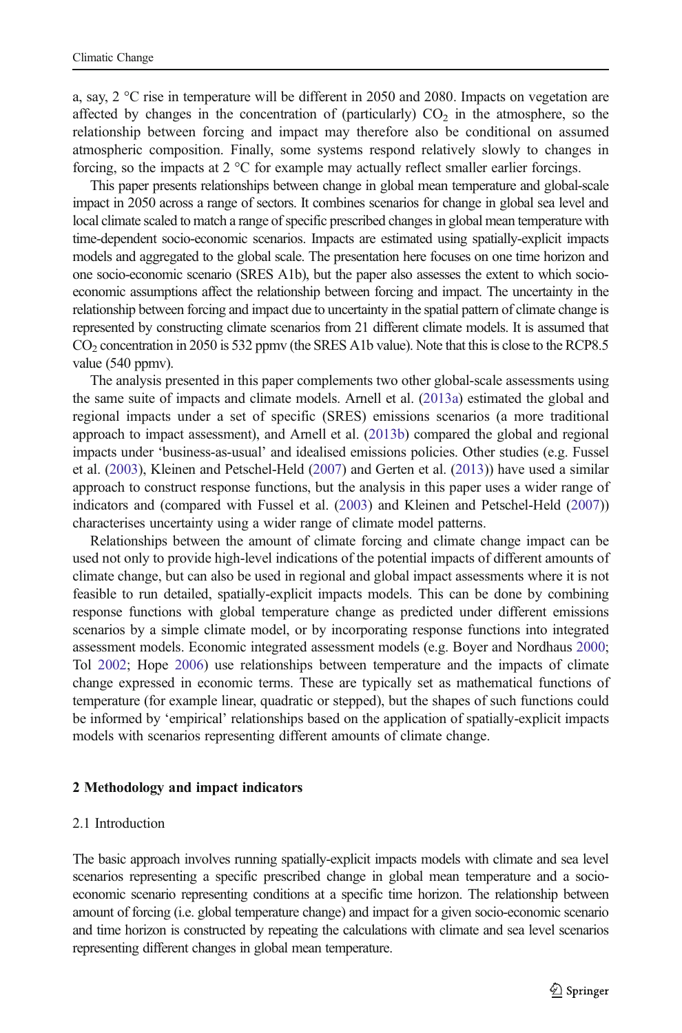a, say,  $2^{\circ}$ C rise in temperature will be different in 2050 and 2080. Impacts on vegetation are affected by changes in the concentration of (particularly)  $CO<sub>2</sub>$  in the atmosphere, so the relationship between forcing and impact may therefore also be conditional on assumed atmospheric composition. Finally, some systems respond relatively slowly to changes in forcing, so the impacts at 2 °C for example may actually reflect smaller earlier forcings.

This paper presents relationships between change in global mean temperature and global-scale impact in 2050 across a range of sectors. It combines scenarios for change in global sea level and local climate scaled to match a range of specific prescribed changes in global mean temperature with time-dependent socio-economic scenarios. Impacts are estimated using spatially-explicit impacts models and aggregated to the global scale. The presentation here focuses on one time horizon and one socio-economic scenario (SRES A1b), but the paper also assesses the extent to which socioeconomic assumptions affect the relationship between forcing and impact. The uncertainty in the relationship between forcing and impact due to uncertainty in the spatial pattern of climate change is represented by constructing climate scenarios from 21 different climate models. It is assumed that CO2 concentration in 2050 is 532 ppmv (the SRES A1b value). Note that this is close to the RCP8.5 value (540 ppmv).

The analysis presented in this paper complements two other global-scale assessments using the same suite of impacts and climate models. Arnell et al. ([2013a](#page-11-0)) estimated the global and regional impacts under a set of specific (SRES) emissions scenarios (a more traditional approach to impact assessment), and Arnell et al. ([2013b\)](#page-11-0) compared the global and regional impacts under 'business-as-usual' and idealised emissions policies. Other studies (e.g. Fussel et al. ([2003](#page-11-0)), Kleinen and Petschel-Held ([2007](#page-11-0)) and Gerten et al. ([2013](#page-11-0))) have used a similar approach to construct response functions, but the analysis in this paper uses a wider range of indicators and (compared with Fussel et al. ([2003](#page-11-0)) and Kleinen and Petschel-Held [\(2007\)](#page-11-0)) characterises uncertainty using a wider range of climate model patterns.

Relationships between the amount of climate forcing and climate change impact can be used not only to provide high-level indications of the potential impacts of different amounts of climate change, but can also be used in regional and global impact assessments where it is not feasible to run detailed, spatially-explicit impacts models. This can be done by combining response functions with global temperature change as predicted under different emissions scenarios by a simple climate model, or by incorporating response functions into integrated assessment models. Economic integrated assessment models (e.g. Boyer and Nordhaus [2000](#page-11-0); Tol [2002;](#page-12-0) Hope [2006](#page-11-0)) use relationships between temperature and the impacts of climate change expressed in economic terms. These are typically set as mathematical functions of temperature (for example linear, quadratic or stepped), but the shapes of such functions could be informed by 'empirical' relationships based on the application of spatially-explicit impacts models with scenarios representing different amounts of climate change.

#### 2 Methodology and impact indicators

# 2.1 Introduction

The basic approach involves running spatially-explicit impacts models with climate and sea level scenarios representing a specific prescribed change in global mean temperature and a socioeconomic scenario representing conditions at a specific time horizon. The relationship between amount of forcing (i.e. global temperature change) and impact for a given socio-economic scenario and time horizon is constructed by repeating the calculations with climate and sea level scenarios representing different changes in global mean temperature.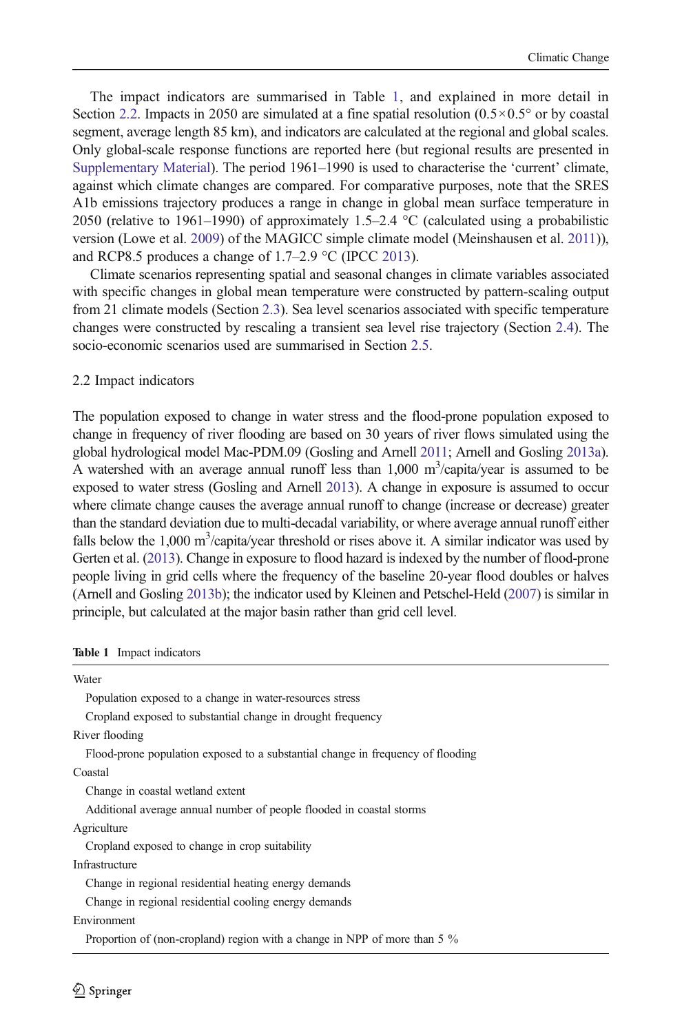<span id="page-3-0"></span>The impact indicators are summarised in Table 1, and explained in more detail in Section 2.2. Impacts in 2050 are simulated at a fine spatial resolution  $(0.5 \times 0.5^{\circ}$  or by coastal segment, average length 85 km), and indicators are calculated at the regional and global scales. Only global-scale response functions are reported here (but regional results are presented in Supplementary Material). The period 1961–1990 is used to characterise the 'current' climate, against which climate changes are compared. For comparative purposes, note that the SRES A1b emissions trajectory produces a range in change in global mean surface temperature in 2050 (relative to 1961–1990) of approximately 1.5–2.4 °C (calculated using a probabilistic version (Lowe et al. [2009\)](#page-11-0) of the MAGICC simple climate model (Meinshausen et al. [2011](#page-12-0))), and RCP8.5 produces a change of 1.7–2.9 °C (IPCC [2013\)](#page-11-0).

Climate scenarios representing spatial and seasonal changes in climate variables associated with specific changes in global mean temperature were constructed by pattern-scaling output from 21 climate models (Section [2.3\)](#page-4-0). Sea level scenarios associated with specific temperature changes were constructed by rescaling a transient sea level rise trajectory (Section [2.4\)](#page-5-0). The socio-economic scenarios used are summarised in Section [2.5.](#page-5-0)

## 2.2 Impact indicators

The population exposed to change in water stress and the flood-prone population exposed to change in frequency of river flooding are based on 30 years of river flows simulated using the global hydrological model Mac-PDM.09 (Gosling and Arnell [2011;](#page-11-0) Arnell and Gosling [2013a](#page-11-0)). A watershed with an average annual runoff less than  $1,000 \text{ m}^3$ /capita/year is assumed to be exposed to water stress (Gosling and Arnell [2013\)](#page-11-0). A change in exposure is assumed to occur where climate change causes the average annual runoff to change (increase or decrease) greater than the standard deviation due to multi-decadal variability, or where average annual runoff either falls below the  $1,000 \text{ m}^3$ /capita/year threshold or rises above it. A similar indicator was used by Gerten et al. [\(2013](#page-11-0)). Change in exposure to flood hazard is indexed by the number of flood-prone people living in grid cells where the frequency of the baseline 20-year flood doubles or halves (Arnell and Gosling [2013b\)](#page-11-0); the indicator used by Kleinen and Petschel-Held ([2007\)](#page-11-0) is similar in principle, but calculated at the major basin rather than grid cell level.

| Impact indicators<br>Table 1 |  |
|------------------------------|--|
|------------------------------|--|

Water Population exposed to a change in water-resources stress Cropland exposed to substantial change in drought frequency River flooding Flood-prone population exposed to a substantial change in frequency of flooding Coastal Change in coastal wetland extent Additional average annual number of people flooded in coastal storms **Agriculture** Cropland exposed to change in crop suitability Infrastructure Change in regional residential heating energy demands Change in regional residential cooling energy demands Environment Proportion of (non-cropland) region with a change in NPP of more than 5 %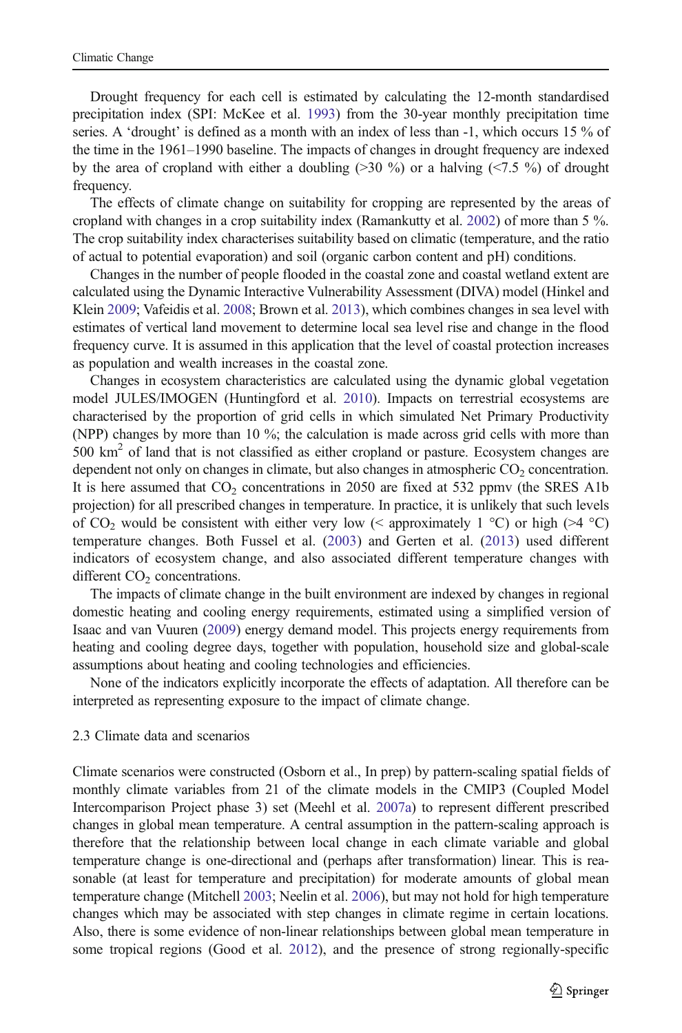<span id="page-4-0"></span>Drought frequency for each cell is estimated by calculating the 12-month standardised precipitation index (SPI: McKee et al. [1993](#page-12-0)) from the 30-year monthly precipitation time series. A 'drought' is defined as a month with an index of less than -1, which occurs 15 % of the time in the 1961–1990 baseline. The impacts of changes in drought frequency are indexed by the area of cropland with either a doubling  $(>30\%)$  or a halving  $(<7.5\%)$  of drought frequency.

The effects of climate change on suitability for cropping are represented by the areas of cropland with changes in a crop suitability index (Ramankutty et al. [2002\)](#page-12-0) of more than 5 %. The crop suitability index characterises suitability based on climatic (temperature, and the ratio of actual to potential evaporation) and soil (organic carbon content and pH) conditions.

Changes in the number of people flooded in the coastal zone and coastal wetland extent are calculated using the Dynamic Interactive Vulnerability Assessment (DIVA) model (Hinkel and Klein [2009;](#page-11-0) Vafeidis et al. [2008](#page-12-0); Brown et al. [2013](#page-11-0)), which combines changes in sea level with estimates of vertical land movement to determine local sea level rise and change in the flood frequency curve. It is assumed in this application that the level of coastal protection increases as population and wealth increases in the coastal zone.

Changes in ecosystem characteristics are calculated using the dynamic global vegetation model JULES/IMOGEN (Huntingford et al. [2010\)](#page-11-0). Impacts on terrestrial ecosystems are characterised by the proportion of grid cells in which simulated Net Primary Productivity (NPP) changes by more than 10 %; the calculation is made across grid cells with more than  $500 \text{ km}^2$  of land that is not classified as either cropland or pasture. Ecosystem changes are dependent not only on changes in climate, but also changes in atmospheric  $CO<sub>2</sub>$  concentration. It is here assumed that  $CO<sub>2</sub>$  concentrations in 2050 are fixed at 532 ppmv (the SRES A1b) projection) for all prescribed changes in temperature. In practice, it is unlikely that such levels of CO<sub>2</sub> would be consistent with either very low (< approximately 1  $^{\circ}$ C) or high (>4  $^{\circ}$ C) temperature changes. Both Fussel et al. [\(2003](#page-11-0)) and Gerten et al. ([2013\)](#page-11-0) used different indicators of ecosystem change, and also associated different temperature changes with different  $CO<sub>2</sub>$  concentrations.

The impacts of climate change in the built environment are indexed by changes in regional domestic heating and cooling energy requirements, estimated using a simplified version of Isaac and van Vuuren ([2009](#page-11-0)) energy demand model. This projects energy requirements from heating and cooling degree days, together with population, household size and global-scale assumptions about heating and cooling technologies and efficiencies.

None of the indicators explicitly incorporate the effects of adaptation. All therefore can be interpreted as representing exposure to the impact of climate change.

## 2.3 Climate data and scenarios

Climate scenarios were constructed (Osborn et al., In prep) by pattern-scaling spatial fields of monthly climate variables from 21 of the climate models in the CMIP3 (Coupled Model Intercomparison Project phase 3) set (Meehl et al. [2007a](#page-12-0)) to represent different prescribed changes in global mean temperature. A central assumption in the pattern-scaling approach is therefore that the relationship between local change in each climate variable and global temperature change is one-directional and (perhaps after transformation) linear. This is reasonable (at least for temperature and precipitation) for moderate amounts of global mean temperature change (Mitchell [2003](#page-12-0); Neelin et al. [2006](#page-12-0)), but may not hold for high temperature changes which may be associated with step changes in climate regime in certain locations. Also, there is some evidence of non-linear relationships between global mean temperature in some tropical regions (Good et al. [2012](#page-11-0)), and the presence of strong regionally-specific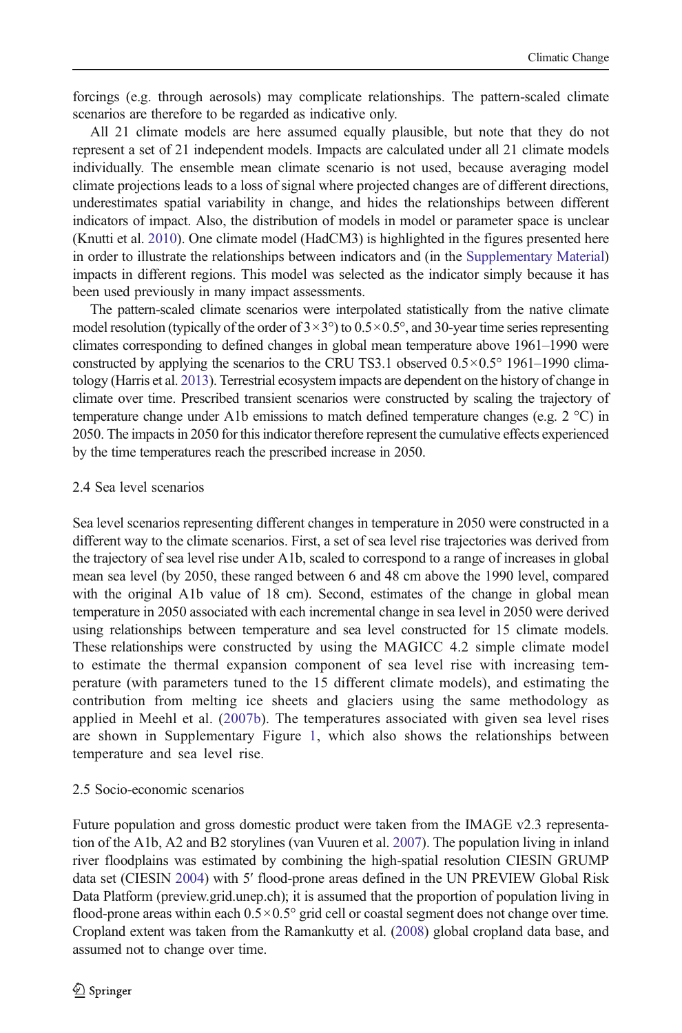<span id="page-5-0"></span>forcings (e.g. through aerosols) may complicate relationships. The pattern-scaled climate scenarios are therefore to be regarded as indicative only.

All 21 climate models are here assumed equally plausible, but note that they do not represent a set of 21 independent models. Impacts are calculated under all 21 climate models individually. The ensemble mean climate scenario is not used, because averaging model climate projections leads to a loss of signal where projected changes are of different directions, underestimates spatial variability in change, and hides the relationships between different indicators of impact. Also, the distribution of models in model or parameter space is unclear (Knutti et al. [2010](#page-11-0)). One climate model (HadCM3) is highlighted in the figures presented here in order to illustrate the relationships between indicators and (in the Supplementary Material) impacts in different regions. This model was selected as the indicator simply because it has been used previously in many impact assessments.

The pattern-scaled climate scenarios were interpolated statistically from the native climate model resolution (typically of the order of  $3\times3^{\circ}$ ) to  $0.5\times0.5^{\circ}$ , and 30-year time series representing climates corresponding to defined changes in global mean temperature above 1961–1990 were constructed by applying the scenarios to the CRU TS3.1 observed  $0.5 \times 0.5^{\circ}$  1961–1990 climatology (Harris et al. [2013\)](#page-11-0). Terrestrial ecosystem impacts are dependent on the history of change in climate over time. Prescribed transient scenarios were constructed by scaling the trajectory of temperature change under A1b emissions to match defined temperature changes (e.g.  $2 \degree C$ ) in 2050. The impacts in 2050 for this indicator therefore represent the cumulative effects experienced by the time temperatures reach the prescribed increase in 2050.

# 2.4 Sea level scenarios

Sea level scenarios representing different changes in temperature in 2050 were constructed in a different way to the climate scenarios. First, a set of sea level rise trajectories was derived from the trajectory of sea level rise under A1b, scaled to correspond to a range of increases in global mean sea level (by 2050, these ranged between 6 and 48 cm above the 1990 level, compared with the original A1b value of 18 cm). Second, estimates of the change in global mean temperature in 2050 associated with each incremental change in sea level in 2050 were derived using relationships between temperature and sea level constructed for 15 climate models. These relationships were constructed by using the MAGICC 4.2 simple climate model to estimate the thermal expansion component of sea level rise with increasing temperature (with parameters tuned to the 15 different climate models), and estimating the contribution from melting ice sheets and glaciers using the same methodology as applied in Meehl et al. ([2007b](#page-12-0)). The temperatures associated with given sea level rises are shown in Supplementary Figure 1, which also shows the relationships between temperature and sea level rise.

# 2.5 Socio-economic scenarios

Future population and gross domestic product were taken from the IMAGE v2.3 representation of the A1b, A2 and B2 storylines (van Vuuren et al. [2007\)](#page-12-0). The population living in inland river floodplains was estimated by combining the high-spatial resolution CIESIN GRUMP data set (CIESIN [2004\)](#page-11-0) with 5′ flood-prone areas defined in the UN PREVIEW Global Risk Data Platform (preview.grid.unep.ch); it is assumed that the proportion of population living in flood-prone areas within each  $0.5 \times 0.5^{\circ}$  grid cell or coastal segment does not change over time. Cropland extent was taken from the Ramankutty et al. [\(2008](#page-12-0)) global cropland data base, and assumed not to change over time.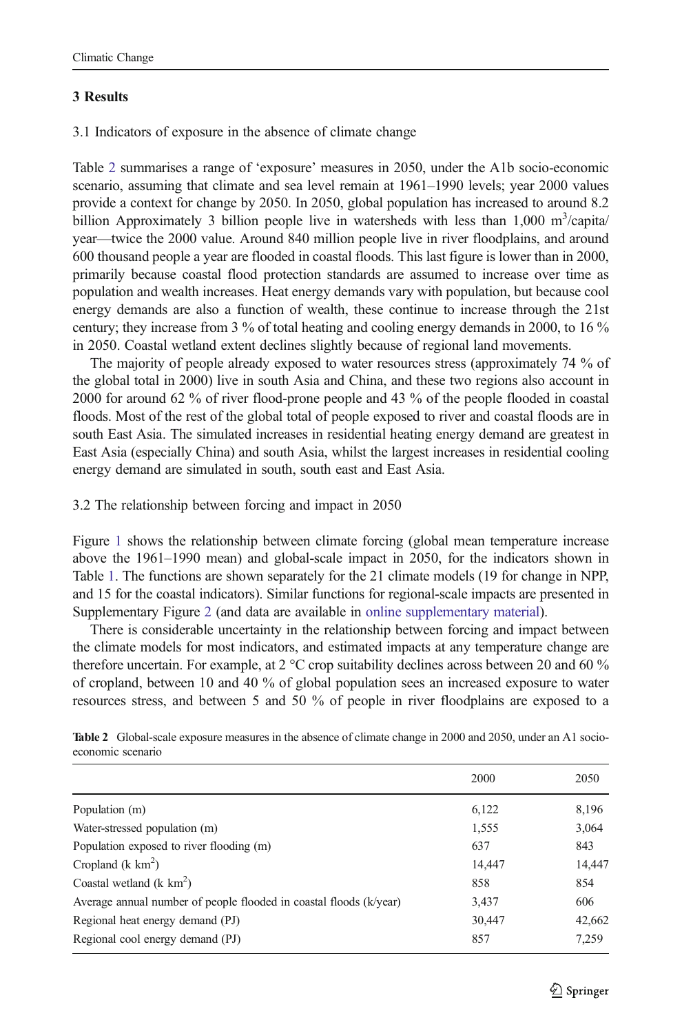# 3 Results

3.1 Indicators of exposure in the absence of climate change

Table 2 summarises a range of 'exposure' measures in 2050, under the A1b socio-economic scenario, assuming that climate and sea level remain at 1961–1990 levels; year 2000 values provide a context for change by 2050. In 2050, global population has increased to around 8.2 billion Approximately 3 billion people live in watersheds with less than  $1,000 \text{ m}^3$ /capita/ year—twice the 2000 value. Around 840 million people live in river floodplains, and around 600 thousand people a year are flooded in coastal floods. This last figure is lower than in 2000, primarily because coastal flood protection standards are assumed to increase over time as population and wealth increases. Heat energy demands vary with population, but because cool energy demands are also a function of wealth, these continue to increase through the 21st century; they increase from 3 % of total heating and cooling energy demands in 2000, to 16 % in 2050. Coastal wetland extent declines slightly because of regional land movements.

The majority of people already exposed to water resources stress (approximately 74 % of the global total in 2000) live in south Asia and China, and these two regions also account in 2000 for around 62 % of river flood-prone people and 43 % of the people flooded in coastal floods. Most of the rest of the global total of people exposed to river and coastal floods are in south East Asia. The simulated increases in residential heating energy demand are greatest in East Asia (especially China) and south Asia, whilst the largest increases in residential cooling energy demand are simulated in south, south east and East Asia.

3.2 The relationship between forcing and impact in 2050

Figure [1](#page-7-0) shows the relationship between climate forcing (global mean temperature increase above the 1961–1990 mean) and global-scale impact in 2050, for the indicators shown in Table [1](#page-3-0). The functions are shown separately for the 21 climate models (19 for change in NPP, and 15 for the coastal indicators). Similar functions for regional-scale impacts are presented in Supplementary Figure 2 (and data are available in online supplementary material).

There is considerable uncertainty in the relationship between forcing and impact between the climate models for most indicators, and estimated impacts at any temperature change are therefore uncertain. For example, at 2  $^{\circ}$ C crop suitability declines across between 20 and 60  $\%$ of cropland, between 10 and 40 % of global population sees an increased exposure to water resources stress, and between 5 and 50 % of people in river floodplains are exposed to a

|                                                                    | 2000   | 2050   |
|--------------------------------------------------------------------|--------|--------|
| Population (m)                                                     | 6,122  | 8,196  |
| Water-stressed population (m)                                      | 1,555  | 3,064  |
| Population exposed to river flooding (m)                           | 637    | 843    |
| Cropland ( $k km2$ )                                               | 14,447 | 14,447 |
| Coastal wetland $(k \text{ km}^2)$                                 | 858    | 854    |
| Average annual number of people flooded in coastal floods (k/year) | 3,437  | 606    |
| Regional heat energy demand (PJ)                                   | 30,447 | 42,662 |
| Regional cool energy demand (PJ)                                   | 857    | 7,259  |

Table 2 Global-scale exposure measures in the absence of climate change in 2000 and 2050, under an A1 socioeconomic scenario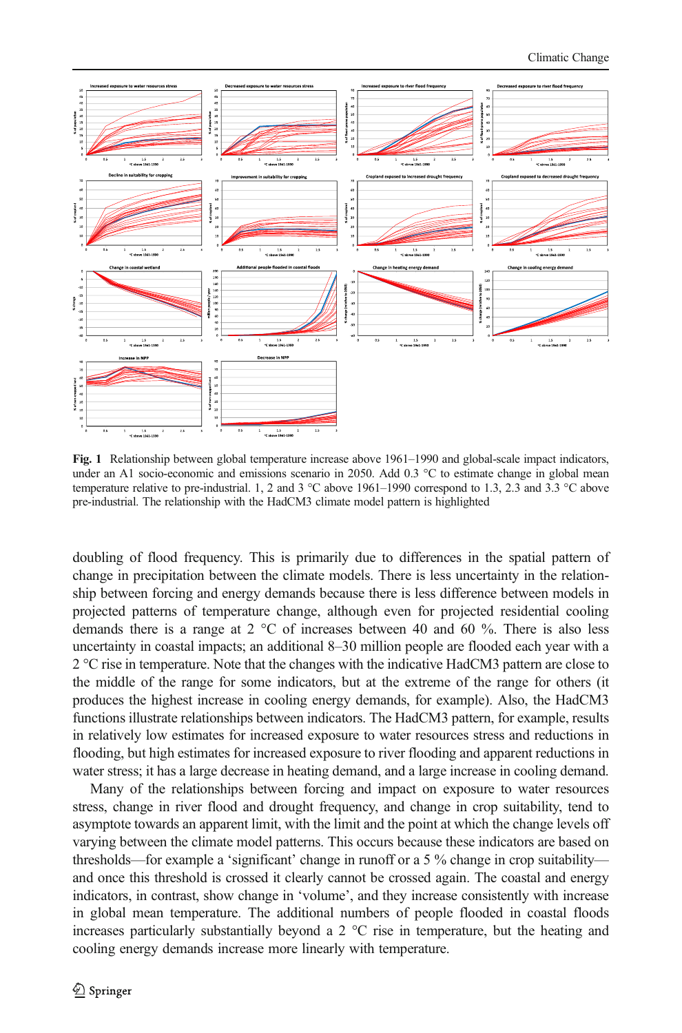<span id="page-7-0"></span>

Fig. 1 Relationship between global temperature increase above 1961–1990 and global-scale impact indicators, under an A1 socio-economic and emissions scenario in 2050. Add 0.3 °C to estimate change in global mean temperature relative to pre-industrial. 1, 2 and 3 °C above 1961–1990 correspond to 1.3, 2.3 and 3.3 °C above pre-industrial. The relationship with the HadCM3 climate model pattern is highlighted

doubling of flood frequency. This is primarily due to differences in the spatial pattern of change in precipitation between the climate models. There is less uncertainty in the relationship between forcing and energy demands because there is less difference between models in projected patterns of temperature change, although even for projected residential cooling demands there is a range at  $2 \degree C$  of increases between 40 and 60 %. There is also less uncertainty in coastal impacts; an additional 8–30 million people are flooded each year with a 2 °C rise in temperature. Note that the changes with the indicative HadCM3 pattern are close to the middle of the range for some indicators, but at the extreme of the range for others (it produces the highest increase in cooling energy demands, for example). Also, the HadCM3 functions illustrate relationships between indicators. The HadCM3 pattern, for example, results in relatively low estimates for increased exposure to water resources stress and reductions in flooding, but high estimates for increased exposure to river flooding and apparent reductions in water stress; it has a large decrease in heating demand, and a large increase in cooling demand.

Many of the relationships between forcing and impact on exposure to water resources stress, change in river flood and drought frequency, and change in crop suitability, tend to asymptote towards an apparent limit, with the limit and the point at which the change levels off varying between the climate model patterns. This occurs because these indicators are based on thresholds—for example a 'significant' change in runoff or a 5 % change in crop suitability and once this threshold is crossed it clearly cannot be crossed again. The coastal and energy indicators, in contrast, show change in 'volume', and they increase consistently with increase in global mean temperature. The additional numbers of people flooded in coastal floods increases particularly substantially beyond a 2 °C rise in temperature, but the heating and cooling energy demands increase more linearly with temperature.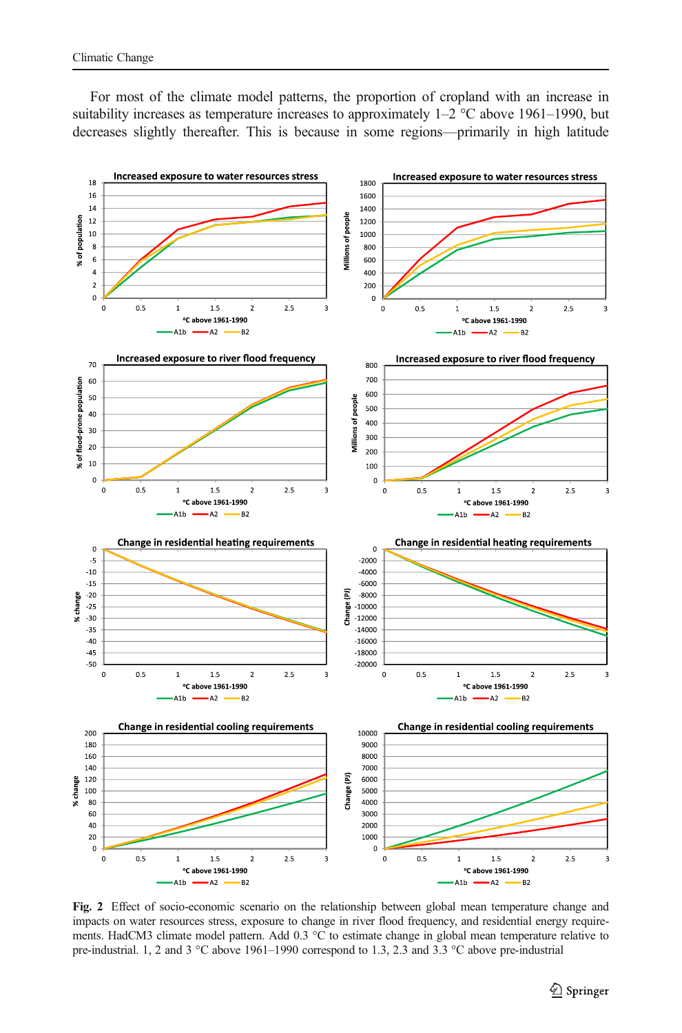<span id="page-8-0"></span>For most of the climate model patterns, the proportion of cropland with an increase in suitability increases as temperature increases to approximately  $1-2$  °C above 1961–1990, but decreases slightly thereafter. This is because in some regions—primarily in high latitude



Fig. 2 Effect of socio-economic scenario on the relationship between global mean temperature change and impacts on water resources stress, exposure to change in river flood frequency, and residential energy requirements. HadCM3 climate model pattern. Add 0.3 °C to estimate change in global mean temperature relative to pre-industrial. 1, 2 and 3 °C above 1961–1990 correspond to 1.3, 2.3 and 3.3 °C above pre-industrial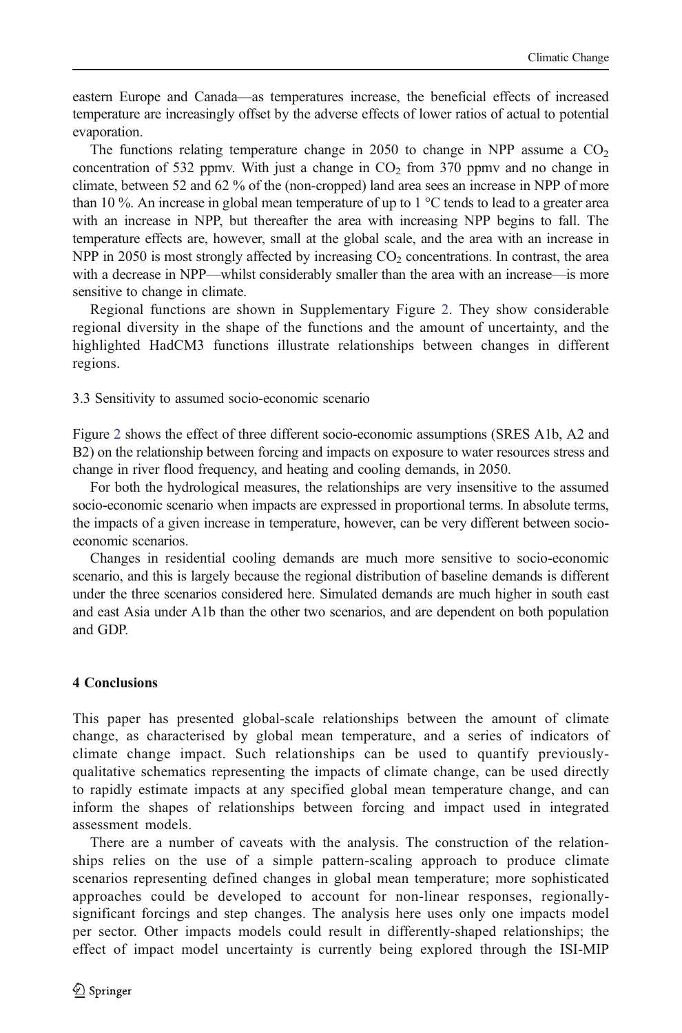eastern Europe and Canada—as temperatures increase, the beneficial effects of increased temperature are increasingly offset by the adverse effects of lower ratios of actual to potential evaporation.

The functions relating temperature change in 2050 to change in NPP assume a  $CO<sub>2</sub>$ concentration of 532 ppmv. With just a change in  $CO<sub>2</sub>$  from 370 ppmv and no change in climate, between 52 and 62 % of the (non-cropped) land area sees an increase in NPP of more than 10 %. An increase in global mean temperature of up to 1  $^{\circ}$ C tends to lead to a greater area with an increase in NPP, but thereafter the area with increasing NPP begins to fall. The temperature effects are, however, small at the global scale, and the area with an increase in NPP in 2050 is most strongly affected by increasing  $CO<sub>2</sub>$  concentrations. In contrast, the area with a decrease in NPP—whilst considerably smaller than the area with an increase—is more sensitive to change in climate.

Regional functions are shown in Supplementary Figure 2. They show considerable regional diversity in the shape of the functions and the amount of uncertainty, and the highlighted HadCM3 functions illustrate relationships between changes in different regions.

## 3.3 Sensitivity to assumed socio-economic scenario

Figure [2](#page-8-0) shows the effect of three different socio-economic assumptions (SRES A1b, A2 and B2) on the relationship between forcing and impacts on exposure to water resources stress and change in river flood frequency, and heating and cooling demands, in 2050.

For both the hydrological measures, the relationships are very insensitive to the assumed socio-economic scenario when impacts are expressed in proportional terms. In absolute terms, the impacts of a given increase in temperature, however, can be very different between socioeconomic scenarios.

Changes in residential cooling demands are much more sensitive to socio-economic scenario, and this is largely because the regional distribution of baseline demands is different under the three scenarios considered here. Simulated demands are much higher in south east and east Asia under A1b than the other two scenarios, and are dependent on both population and GDP.

#### 4 Conclusions

This paper has presented global-scale relationships between the amount of climate change, as characterised by global mean temperature, and a series of indicators of climate change impact. Such relationships can be used to quantify previouslyqualitative schematics representing the impacts of climate change, can be used directly to rapidly estimate impacts at any specified global mean temperature change, and can inform the shapes of relationships between forcing and impact used in integrated assessment models.

There are a number of caveats with the analysis. The construction of the relationships relies on the use of a simple pattern-scaling approach to produce climate scenarios representing defined changes in global mean temperature; more sophisticated approaches could be developed to account for non-linear responses, regionallysignificant forcings and step changes. The analysis here uses only one impacts model per sector. Other impacts models could result in differently-shaped relationships; the effect of impact model uncertainty is currently being explored through the ISI-MIP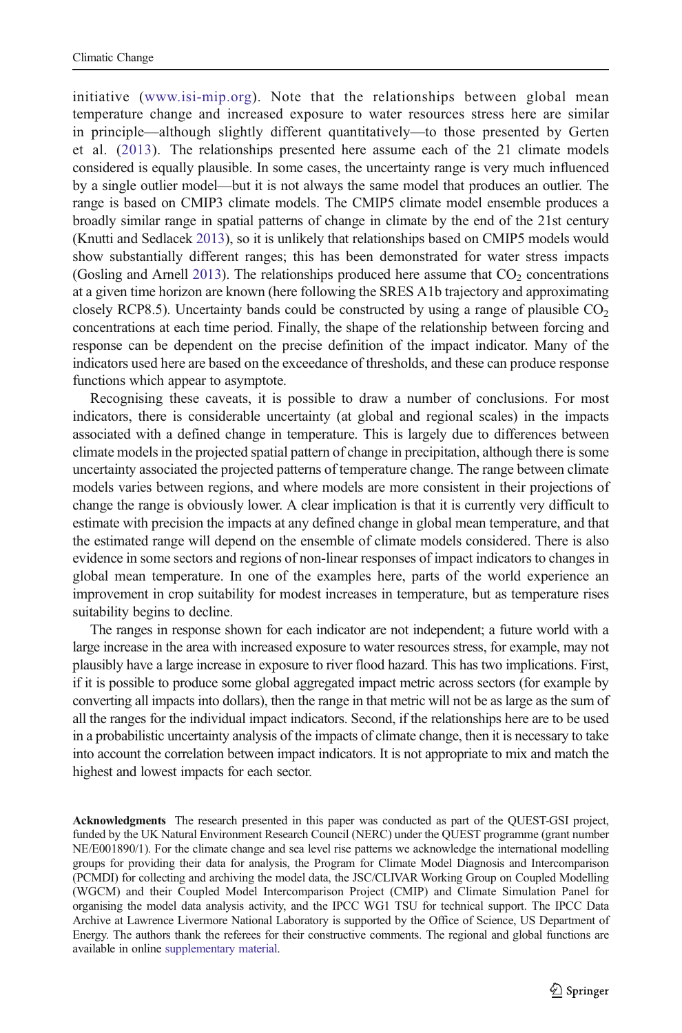initiative ([www.isi-mip.org](http://www.isi-mip.org/)). Note that the relationships between global mean temperature change and increased exposure to water resources stress here are similar in principle—although slightly different quantitatively—to those presented by Gerten et al. [\(2013](#page-11-0)). The relationships presented here assume each of the 21 climate models considered is equally plausible. In some cases, the uncertainty range is very much influenced by a single outlier model—but it is not always the same model that produces an outlier. The range is based on CMIP3 climate models. The CMIP5 climate model ensemble produces a broadly similar range in spatial patterns of change in climate by the end of the 21st century (Knutti and Sedlacek [2013](#page-11-0)), so it is unlikely that relationships based on CMIP5 models would show substantially different ranges; this has been demonstrated for water stress impacts (Gosling and Arnell [2013\)](#page-11-0). The relationships produced here assume that  $CO<sub>2</sub>$  concentrations at a given time horizon are known (here following the SRES A1b trajectory and approximating closely RCP8.5). Uncertainty bands could be constructed by using a range of plausible  $CO<sub>2</sub>$ concentrations at each time period. Finally, the shape of the relationship between forcing and response can be dependent on the precise definition of the impact indicator. Many of the indicators used here are based on the exceedance of thresholds, and these can produce response functions which appear to asymptote.

Recognising these caveats, it is possible to draw a number of conclusions. For most indicators, there is considerable uncertainty (at global and regional scales) in the impacts associated with a defined change in temperature. This is largely due to differences between climate models in the projected spatial pattern of change in precipitation, although there is some uncertainty associated the projected patterns of temperature change. The range between climate models varies between regions, and where models are more consistent in their projections of change the range is obviously lower. A clear implication is that it is currently very difficult to estimate with precision the impacts at any defined change in global mean temperature, and that the estimated range will depend on the ensemble of climate models considered. There is also evidence in some sectors and regions of non-linear responses of impact indicators to changes in global mean temperature. In one of the examples here, parts of the world experience an improvement in crop suitability for modest increases in temperature, but as temperature rises suitability begins to decline.

The ranges in response shown for each indicator are not independent; a future world with a large increase in the area with increased exposure to water resources stress, for example, may not plausibly have a large increase in exposure to river flood hazard. This has two implications. First, if it is possible to produce some global aggregated impact metric across sectors (for example by converting all impacts into dollars), then the range in that metric will not be as large as the sum of all the ranges for the individual impact indicators. Second, if the relationships here are to be used in a probabilistic uncertainty analysis of the impacts of climate change, then it is necessary to take into account the correlation between impact indicators. It is not appropriate to mix and match the highest and lowest impacts for each sector.

Acknowledgments The research presented in this paper was conducted as part of the QUEST-GSI project, funded by the UK Natural Environment Research Council (NERC) under the QUEST programme (grant number NE/E001890/1). For the climate change and sea level rise patterns we acknowledge the international modelling groups for providing their data for analysis, the Program for Climate Model Diagnosis and Intercomparison (PCMDI) for collecting and archiving the model data, the JSC/CLIVAR Working Group on Coupled Modelling (WGCM) and their Coupled Model Intercomparison Project (CMIP) and Climate Simulation Panel for organising the model data analysis activity, and the IPCC WG1 TSU for technical support. The IPCC Data Archive at Lawrence Livermore National Laboratory is supported by the Office of Science, US Department of Energy. The authors thank the referees for their constructive comments. The regional and global functions are available in online supplementary material.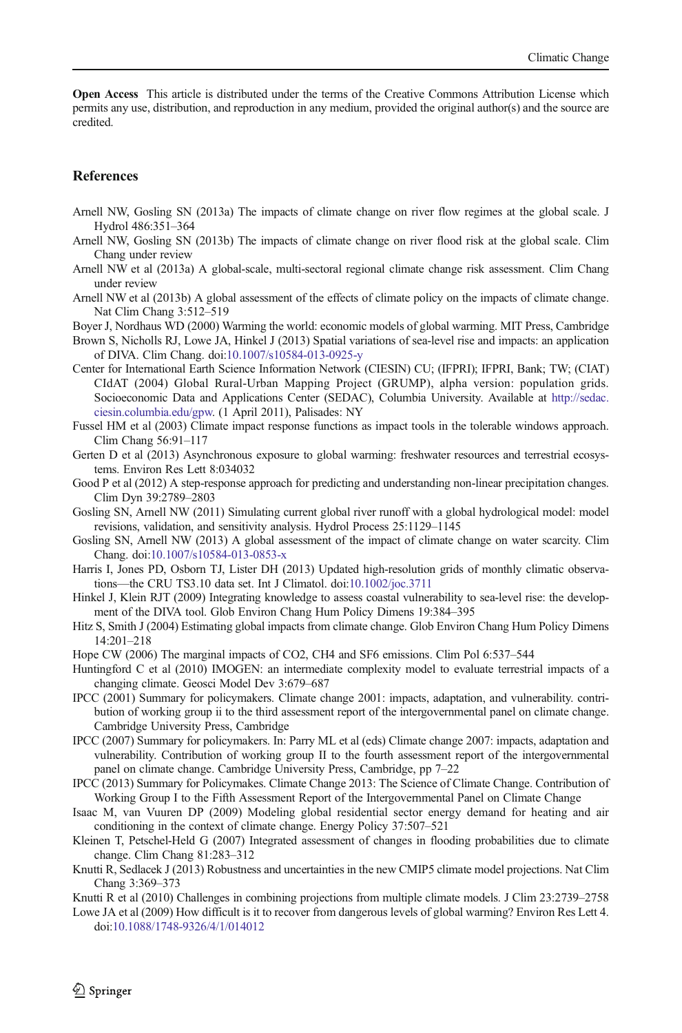<span id="page-11-0"></span>Open Access This article is distributed under the terms of the Creative Commons Attribution License which permits any use, distribution, and reproduction in any medium, provided the original author(s) and the source are credited.

## **References**

- Arnell NW, Gosling SN (2013a) The impacts of climate change on river flow regimes at the global scale. J Hydrol 486:351–364
- Arnell NW, Gosling SN (2013b) The impacts of climate change on river flood risk at the global scale. Clim Chang under review
- Arnell NW et al (2013a) A global-scale, multi-sectoral regional climate change risk assessment. Clim Chang under review
- Arnell NW et al (2013b) A global assessment of the effects of climate policy on the impacts of climate change. Nat Clim Chang 3:512–519
- Boyer J, Nordhaus WD (2000) Warming the world: economic models of global warming. MIT Press, Cambridge
- Brown S, Nicholls RJ, Lowe JA, Hinkel J (2013) Spatial variations of sea-level rise and impacts: an application of DIVA. Clim Chang. doi[:10.1007/s10584-013-0925-y](http://dx.doi.org/10.1007/s10584-013-0925-y)
- Center for International Earth Science Information Network (CIESIN) CU; (IFPRI); IFPRI, Bank; TW; (CIAT) CIdAT (2004) Global Rural-Urban Mapping Project (GRUMP), alpha version: population grids. Socioeconomic Data and Applications Center (SEDAC), Columbia University. Available at [http://sedac.](http://sedac.ciesin.columbia.edu/gpw) [ciesin.columbia.edu/gpw.](http://sedac.ciesin.columbia.edu/gpw) (1 April 2011), Palisades: NY
- Fussel HM et al (2003) Climate impact response functions as impact tools in the tolerable windows approach. Clim Chang 56:91–117
- Gerten D et al (2013) Asynchronous exposure to global warming: freshwater resources and terrestrial ecosystems. Environ Res Lett 8:034032
- Good P et al (2012) A step-response approach for predicting and understanding non-linear precipitation changes. Clim Dyn 39:2789–2803
- Gosling SN, Arnell NW (2011) Simulating current global river runoff with a global hydrological model: model revisions, validation, and sensitivity analysis. Hydrol Process 25:1129–1145
- Gosling SN, Arnell NW (2013) A global assessment of the impact of climate change on water scarcity. Clim Chang. doi[:10.1007/s10584-013-0853-x](http://dx.doi.org/10.1007/s10584-013-0853-x)
- Harris I, Jones PD, Osborn TJ, Lister DH (2013) Updated high-resolution grids of monthly climatic observations—the CRU TS3.10 data set. Int J Climatol. doi[:10.1002/joc.3711](http://dx.doi.org/10.1002/joc.3711)
- Hinkel J, Klein RJT (2009) Integrating knowledge to assess coastal vulnerability to sea-level rise: the development of the DIVA tool. Glob Environ Chang Hum Policy Dimens 19:384–395
- Hitz S, Smith J (2004) Estimating global impacts from climate change. Glob Environ Chang Hum Policy Dimens 14:201–218
- Hope CW (2006) The marginal impacts of CO2, CH4 and SF6 emissions. Clim Pol 6:537–544
- Huntingford C et al (2010) IMOGEN: an intermediate complexity model to evaluate terrestrial impacts of a changing climate. Geosci Model Dev 3:679–687
- IPCC (2001) Summary for policymakers. Climate change 2001: impacts, adaptation, and vulnerability. contribution of working group ii to the third assessment report of the intergovernmental panel on climate change. Cambridge University Press, Cambridge
- IPCC (2007) Summary for policymakers. In: Parry ML et al (eds) Climate change 2007: impacts, adaptation and vulnerability. Contribution of working group II to the fourth assessment report of the intergovernmental panel on climate change. Cambridge University Press, Cambridge, pp 7–22
- IPCC (2013) Summary for Policymakes. Climate Change 2013: The Science of Climate Change. Contribution of Working Group I to the Fifth Assessment Report of the Intergovernmental Panel on Climate Change
- Isaac M, van Vuuren DP (2009) Modeling global residential sector energy demand for heating and air conditioning in the context of climate change. Energy Policy 37:507–521
- Kleinen T, Petschel-Held G (2007) Integrated assessment of changes in flooding probabilities due to climate change. Clim Chang 81:283–312
- Knutti R, Sedlacek J (2013) Robustness and uncertainties in the new CMIP5 climate model projections. Nat Clim Chang 3:369–373
- Knutti R et al (2010) Challenges in combining projections from multiple climate models. J Clim 23:2739–2758
- Lowe JA et al (2009) How difficult is it to recover from dangerous levels of global warming? Environ Res Lett 4. doi:[10.1088/1748-9326/4/1/014012](http://dx.doi.org/10.1088/1748-9326/4/1/014012)